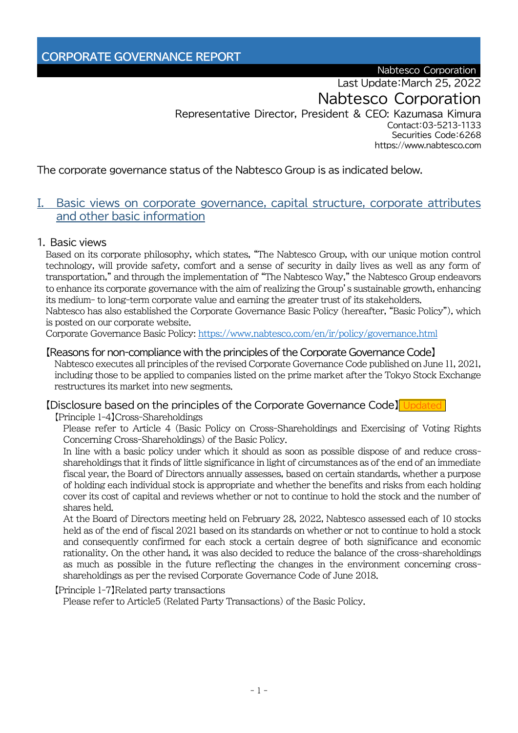Nabtesco Corporation

Last Update:March 25, 2022

Nabtesco Corporation

Representative Director, President & CEO: Kazumasa Kimura Contact:03-5213-1133 Securities Code:6268 https://www.nabtesco.com

The corporate governance status of the Nabtesco Group is as indicated below.

## I. Basic views on corporate governance, capital structure, corporate attributes and other basic information

#### 1. Basic views

Based on its corporate philosophy, which states, "The Nabtesco Group, with our unique motion control technology, will provide safety, comfort and a sense of security in daily lives as well as any form of transportation," and through the implementation of "The Nabtesco Way," the Nabtesco Group endeavors to enhance its corporate governance with the aim of realizing the Group's sustainable growth, enhancing its medium- to long-term corporate value and earning the greater trust of its stakeholders.

Nabtesco has also established the Corporate Governance Basic Policy (hereafter, "Basic Policy"), which is posted on our corporate website.

Corporate Governance Basic Policy:<https://www.nabtesco.com/en/ir/policy/governance.html>

#### 【Reasons for non-compliance with the principles of the Corporate Governance Code】

Nabtesco executes all principles of the revised Corporate Governance Code published on June 11, 2021, including those to be applied to companies listed on the prime market after the Tokyo Stock Exchange restructures its market into new segments.

#### 【Disclosure based on the principles of the Corporate Governance Code】 Updated

【Principle 1-4】Cross-Shareholdings

Please refer to Article 4 (Basic Policy on Cross-Shareholdings and Exercising of Voting Rights Concerning Cross-Shareholdings) of the Basic Policy.

In line with a basic policy under which it should as soon as possible dispose of and reduce crossshareholdings that it finds of little significance in light of circumstances as of the end of an immediate fiscal year, the Board of Directors annually assesses, based on certain standards, whether a purpose of holding each individual stock is appropriate and whether the benefits and risks from each holding cover its cost of capital and reviews whether or not to continue to hold the stock and the number of shares held.

At the Board of Directors meeting held on February 28, 2022, Nabtesco assessed each of 10 stocks held as of the end of fiscal 2021 based on its standards on whether or not to continue to hold a stock and consequently confirmed for each stock a certain degree of both significance and economic rationality. On the other hand, it was also decided to reduce the balance of the cross-shareholdings as much as possible in the future reflecting the changes in the environment concerning crossshareholdings as per the revised Corporate Governance Code of June 2018.

#### 【Principle 1-7】Related party transactions

Please refer to Article5 (Related Party Transactions) of the Basic Policy.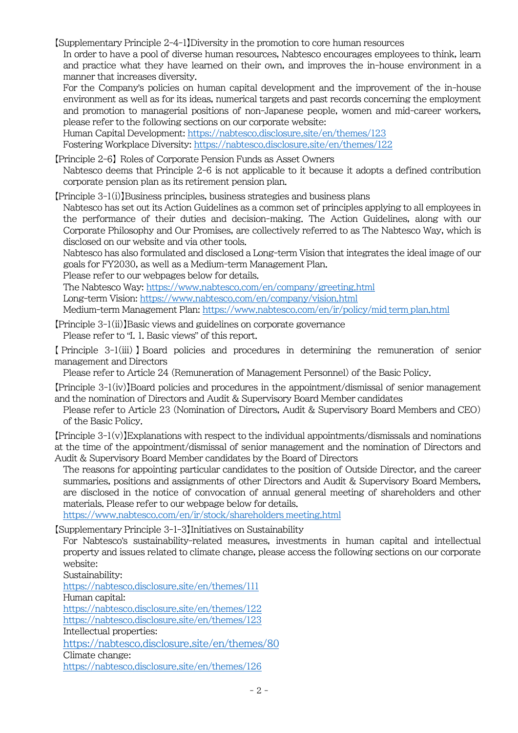【Supplementary Principle 2-4-1】Diversity in the promotion to core human resources

In order to have a pool of diverse human resources, Nabtesco encourages employees to think, learn and practice what they have learned on their own, and improves the in-house environment in a manner that increases diversity.

For the Company's policies on human capital development and the improvement of the in-house environment as well as for its ideas, numerical targets and past records concerning the employment and promotion to managerial positions of non-Japanese people, women and mid-career workers, please refer to the following sections on our corporate website:

Human Capital Development[: https://nabtesco.disclosure.site/en/themes/123](https://nabtesco.disclosure.site/en/themes/123)

Fostering Workplace Diversity:<https://nabtesco.disclosure.site/en/themes/122>

【Principle 2-6】 Roles of Corporate Pension Funds as Asset Owners Nabtesco deems that Principle 2-6 is not applicable to it because it adopts a defined contribution corporate pension plan as its retirement pension plan.

【Principle 3-1(i)】Business principles, business strategies and business plans

Nabtesco has set out its Action Guidelines as a common set of principles applying to all employees in the performance of their duties and decision-making. The Action Guidelines, along with our Corporate Philosophy and Our Promises, are collectively referred to as The Nabtesco Way, which is disclosed on our website and via other tools.

Nabtesco has also formulated and disclosed a Long-term Vision that integrates the ideal image of our goals for FY2030, as well as a Medium-term Management Plan.

Please refer to our webpages below for details.

The Nabtesco Way:<https://www.nabtesco.com/en/company/greeting.html> Long-term Vision:<https://www.nabtesco.com/en/company/vision.html> Medium-term Management Plan[: https://www.nabtesco.com/en/ir/policy/mid\\_term\\_plan.html](https://www.nabtesco.com/en/ir/policy/mid_term_plan.html)

【Principle 3-1(ii)】Basic views and guidelines on corporate governance Please refer to "I. 1. Basic views" of this report.

【 Principle 3-1(iii) 】 Board policies and procedures in determining the remuneration of senior management and Directors

Please refer to Article 24 (Remuneration of Management Personnel) of the Basic Policy.

【Principle 3-1(iv)】Board policies and procedures in the appointment/dismissal of senior management and the nomination of Directors and Audit & Supervisory Board Member candidates

Please refer to Article 23 (Nomination of Directors, Audit & Supervisory Board Members and CEO) of the Basic Policy.

【Principle 3-1(v)】Explanations with respect to the individual appointments/dismissals and nominations at the time of the appointment/dismissal of senior management and the nomination of Directors and Audit & Supervisory Board Member candidates by the Board of Directors

The reasons for appointing particular candidates to the position of Outside Director, and the career summaries, positions and assignments of other Directors and Audit & Supervisory Board Members, are disclosed in the notice of convocation of annual general meeting of shareholders and other materials. Please refer to our webpage below for details.

[https://www.nabtesco.com/en/ir/stock/shareholders\\_meeting.html](https://www.nabtesco.com/en/ir/stock/shareholders_meeting.html)

【Supplementary Principle 3-1-3】Initiatives on Sustainability

For Nabtesco's sustainability-related measures, investments in human capital and intellectual property and issues related to climate change, please access the following sections on our corporate website:

Sustainability:

<https://nabtesco.disclosure.site/en/themes/111>

Human capital:

<https://nabtesco.disclosure.site/en/themes/122>

<https://nabtesco.disclosure.site/en/themes/123>

Intellectual properties:

<https://nabtesco.disclosure.site/en/themes/80>

Climate change:

<https://nabtesco.disclosure.site/en/themes/126>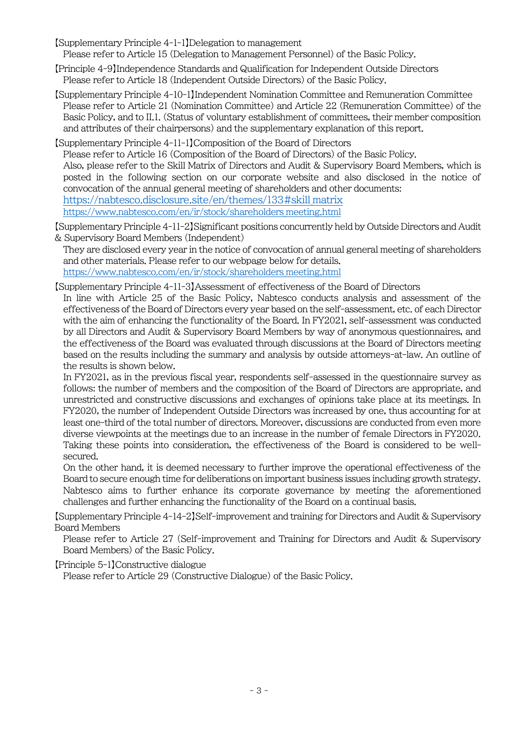- 【Supplementary Principle 4-1-1】Delegation to management Please refer to Article 15 (Delegation to Management Personnel) of the Basic Policy.
- 【Principle 4-9】Independence Standards and Qualification for Independent Outside Directors Please refer to Article 18 (Independent Outside Directors) of the Basic Policy.
- 【Supplementary Principle 4-10-1】Independent Nomination Committee and Remuneration Committee Please refer to Article 21 (Nomination Committee) and Article 22 (Remuneration Committee) of the Basic Policy, and to II.1. (Status of voluntary establishment of committees, their member composition and attributes of their chairpersons) and the supplementary explanation of this report.

【Supplementary Principle 4-11-1】Composition of the Board of Directors Please refer to Article 16 (Composition of the Board of Directors) of the Basic Policy. Also, please refer to the Skill Matrix of Directors and Audit & Supervisory Board Members, which is posted in the following section on our corporate website and also disclosed in the notice of convocation of the annual general meeting of shareholders and other documents: [https://nabtesco.disclosure.site/en/themes/133#skill\\_matrix](https://nabtesco.disclosure.site/en/themes/133#skill_matrix) [https://www.nabtesco.com/en/ir/stock/shareholders\\_meeting.html](https://www.nabtesco.com/en/ir/stock/shareholders_meeting.html)

【Supplementary Principle 4-11-2】Significant positions concurrently held by Outside Directors and Audit & Supervisory Board Members (Independent)

They are disclosed every year in the notice of convocation of annual general meeting of shareholders and other materials. Please refer to our webpage below for details. [https://www.nabtesco.com/en/ir/stock/shareholders\\_meeting.html](https://www.nabtesco.com/en/ir/stock/shareholders_meeting.html)

【Supplementary Principle 4-11-3】Assessment of effectiveness of the Board of Directors

In line with Article 25 of the Basic Policy, Nabtesco conducts analysis and assessment of the effectiveness of the Board of Directors every year based on the self-assessment, etc. of each Director with the aim of enhancing the functionality of the Board. In FY2021, self-assessment was conducted by all Directors and Audit & Supervisory Board Members by way of anonymous questionnaires, and the effectiveness of the Board was evaluated through discussions at the Board of Directors meeting based on the results including the summary and analysis by outside attorneys-at-law. An outline of the results is shown below.

In FY2021, as in the previous fiscal year, respondents self-assessed in the questionnaire survey as follows: the number of members and the composition of the Board of Directors are appropriate, and unrestricted and constructive discussions and exchanges of opinions take place at its meetings. In FY2020, the number of Independent Outside Directors was increased by one, thus accounting for at least one-third of the total number of directors. Moreover, discussions are conducted from even more diverse viewpoints at the meetings due to an increase in the number of female Directors in FY2020. Taking these points into consideration, the effectiveness of the Board is considered to be wellsecured.

On the other hand, it is deemed necessary to further improve the operational effectiveness of the Board to secure enough time for deliberations on important business issues including growth strategy. Nabtesco aims to further enhance its corporate governance by meeting the aforementioned challenges and further enhancing the functionality of the Board on a continual basis.

【Supplementary Principle 4-14-2】Self-improvement and training for Directors and Audit & Supervisory Board Members

Please refer to Article 27 (Self-improvement and Training for Directors and Audit & Supervisory Board Members) of the Basic Policy.

#### 【Principle 5-1】Constructive dialogue

Please refer to Article 29 (Constructive Dialogue) of the Basic Policy.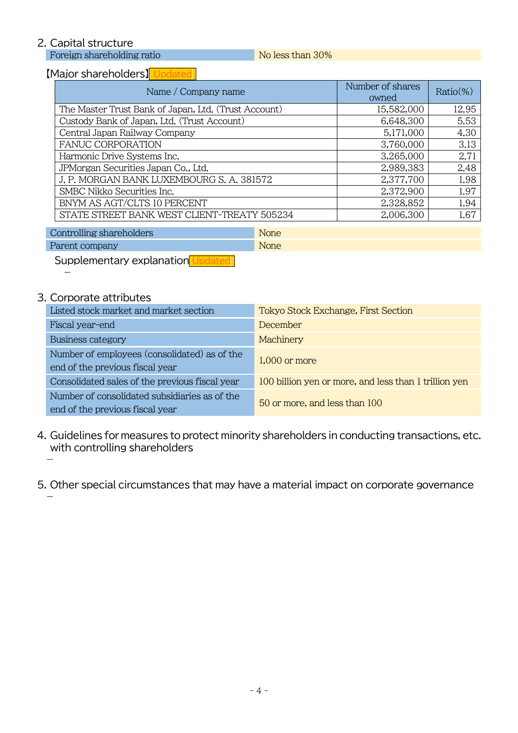## 2. Capital structure

Foreign shareholding ratio No less than 30%

## 【Major shareholders】 Updated

| Name / Company name                                  | Number of shares<br>owned | $Ratio(\%)$ |
|------------------------------------------------------|---------------------------|-------------|
| The Master Trust Bank of Japan, Ltd. (Trust Account) | 15,582,000                | 12.95       |
| Custody Bank of Japan, Ltd. (Trust Account)          | 6,648,300                 | 5.53        |
| Central Japan Railway Company                        | 5,171,000                 | 4.30        |
| <b>FANUC CORPORATION</b>                             | 3,760,000                 | 3.13        |
| Harmonic Drive Systems Inc.                          | 3,265,000                 | 2.71        |
| JPMorgan Securities Japan Co., Ltd.                  | 2,989,383                 | 2.48        |
| J. P. MORGAN BANK LUXEMBOURG S. A. 381572            | 2,377,700                 | 1.98        |
| SMBC Nikko Securities Inc.                           | 2,372,900                 | 1.97        |
| BNYM AS AGT/CLTS 10 PERCENT                          | 2,328,852                 | 1.94        |
| STATE STREET BANK WEST CLIENT-TREATY 505234          | 2,006,300                 | 1.67        |

**Controlling shareholders** None Parent company None

Supplementary explanation Updated

## 3. Corporate attributes

 $\overline{\phantom{0}}$ 

-

| Listed stock market and market section                                           | Tokyo Stock Exchange, First Section                   |
|----------------------------------------------------------------------------------|-------------------------------------------------------|
| Fiscal year-end                                                                  | December                                              |
| Business category                                                                | Machinery                                             |
| Number of employees (consolidated) as of the<br>end of the previous fiscal year  | $1,000$ or more                                       |
| Consolidated sales of the previous fiscal year                                   | 100 billion yen or more, and less than 1 trillion yen |
| Number of consolidated subsidiaries as of the<br>end of the previous fiscal year | 50 or more, and less than 100                         |

4. Guidelines for measures to protect minority shareholders in conducting transactions, etc. with controlling shareholders -

5. Other special circumstances that may have a material impact on corporate governance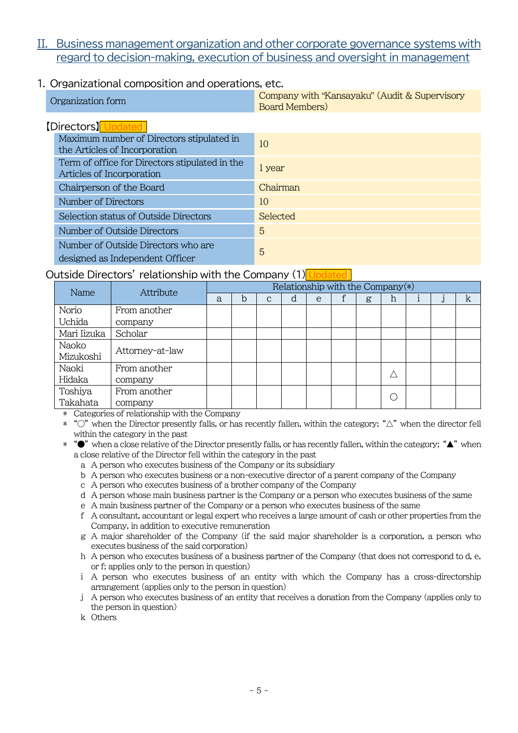## II. Business management organization and other corporate governance systems with regard to decision-making, execution of business and oversight in management

### 1. Organizational composition and operations, etc.

| Organization form |  | Company with "Kansayaku" (Audit & Supervisory<br><b>Board Members</b> ) |
|-------------------|--|-------------------------------------------------------------------------|
|                   |  |                                                                         |

| [Directors]                                    |          |
|------------------------------------------------|----------|
| Maximum number of Directors stipulated in      | 10       |
| the Articles of Incorporation                  |          |
| Term of office for Directors stipulated in the |          |
| Articles of Incorporation                      | l year   |
| Chairperson of the Board                       | Chairman |
| Number of Directors                            | 10       |
| Selection status of Outside Directors          | Selected |
| Number of Outside Directors                    | 5        |
| Number of Outside Directors who are            |          |
| designed as Independent Officer                | 5        |

#### Outside Directors' relationship with the Company (1) Updated

| Name        | Attribute       | Relationship with the Company $(*)$ |   |              |   |   |  |   |   |  |  |   |  |
|-------------|-----------------|-------------------------------------|---|--------------|---|---|--|---|---|--|--|---|--|
|             |                 | a                                   | b | $\mathbf{C}$ | d | e |  | g | h |  |  | k |  |
| Norio       | From another    |                                     |   |              |   |   |  |   |   |  |  |   |  |
| Uchida      | company         |                                     |   |              |   |   |  |   |   |  |  |   |  |
| Mari Iizuka | Scholar         |                                     |   |              |   |   |  |   |   |  |  |   |  |
| Naoko       |                 |                                     |   |              |   |   |  |   |   |  |  |   |  |
| Mizukoshi   | Attorney-at-law |                                     |   |              |   |   |  |   |   |  |  |   |  |
| Naoki       | From another    |                                     |   |              |   |   |  |   |   |  |  |   |  |
| Hidaka      | company         |                                     |   |              |   |   |  |   |   |  |  |   |  |
| Toshiya     | From another    |                                     |   |              |   |   |  |   |   |  |  |   |  |
| Takahata    | company         |                                     |   |              |   |   |  |   |   |  |  |   |  |

\* Categories of relationship with the Company

 $*$  " $\circ$ " when the Director presently falls, or has recently fallen, within the category; " $\triangle$ " when the director fell within the category in the past

 $*$  " $\bullet$ " when a close relative of the Director presently falls, or has recently fallen, within the category; " $\blacktriangle$ " when a close relative of the Director fell within the category in the past

- a A person who executes business of the Company or its subsidiary
- b A person who executes business or a non-executive director of a parent company of the Company

c A person who executes business of a brother company of the Company

d A person whose main business partner is the Company or a person who executes business of the same

e A main business partner of the Company or a person who executes business of the same

f A consultant, accountant or legal expert who receives a large amount of cash or other properties from the Company, in addition to executive remuneration

g A major shareholder of the Company (if the said major shareholder is a corporation, a person who executes business of the said corporation)

h A person who executes business of a business partner of the Company (that does not correspond to d, e, or f; applies only to the person in question)

i A person who executes business of an entity with which the Company has a cross-directorship arrangement (applies only to the person in question)

j A person who executes business of an entity that receives a donation from the Company (applies only to the person in question)

k Others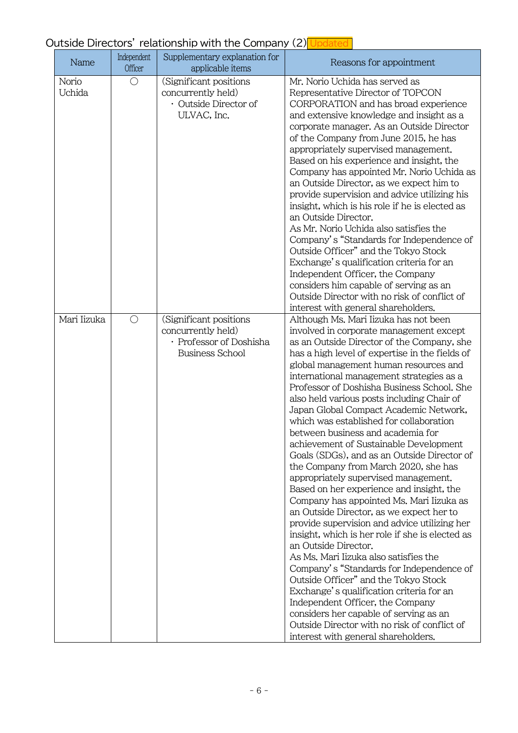# Outside Directors' relationship with the Company (2) Updated

| Name                   | Independent<br>Officer | Supplementary explanation for<br>applicable items                                                 | Reasons for appointment                                                                                                                                                                                                                                                                                                                                                                                                                                                                                                                                                                                                                                                                                                                                                                                                                                                                                                                                                                                                                                                                                                                                                                                                                                                           |
|------------------------|------------------------|---------------------------------------------------------------------------------------------------|-----------------------------------------------------------------------------------------------------------------------------------------------------------------------------------------------------------------------------------------------------------------------------------------------------------------------------------------------------------------------------------------------------------------------------------------------------------------------------------------------------------------------------------------------------------------------------------------------------------------------------------------------------------------------------------------------------------------------------------------------------------------------------------------------------------------------------------------------------------------------------------------------------------------------------------------------------------------------------------------------------------------------------------------------------------------------------------------------------------------------------------------------------------------------------------------------------------------------------------------------------------------------------------|
| Norio<br><b>Uchida</b> | $\bigcirc$             | (Significant positions<br>concurrently held)<br>· Outside Director of<br>ULVAC, Inc.              | Mr. Norio Uchida has served as<br>Representative Director of TOPCON<br>CORPORATION and has broad experience<br>and extensive knowledge and insight as a<br>corporate manager. As an Outside Director<br>of the Company from June 2015, he has<br>appropriately supervised management.<br>Based on his experience and insight, the<br>Company has appointed Mr. Norio Uchida as<br>an Outside Director, as we expect him to<br>provide supervision and advice utilizing his<br>insight, which is his role if he is elected as<br>an Outside Director.<br>As Mr. Norio Uchida also satisfies the<br>Company's "Standards for Independence of<br>Outside Officer" and the Tokyo Stock<br>Exchange's qualification criteria for an<br>Independent Officer, the Company<br>considers him capable of serving as an<br>Outside Director with no risk of conflict of<br>interest with general shareholders.                                                                                                                                                                                                                                                                                                                                                                               |
| Mari Iizuka            | $\bigcirc$             | (Significant positions<br>concurrently held)<br>· Professor of Doshisha<br><b>Business School</b> | Although Ms. Mari Iizuka has not been<br>involved in corporate management except<br>as an Outside Director of the Company, she<br>has a high level of expertise in the fields of<br>global management human resources and<br>international management strategies as a<br>Professor of Doshisha Business School, She<br>also held various posts including Chair of<br>Japan Global Compact Academic Network,<br>which was established for collaboration<br>between business and academia for<br>achievement of Sustainable Development<br>Goals (SDGs), and as an Outside Director of<br>the Company from March 2020, she has<br>appropriately supervised management.<br>Based on her experience and insight, the<br>Company has appointed Ms. Mari Iizuka as<br>an Outside Director, as we expect her to<br>provide supervision and advice utilizing her<br>insight, which is her role if she is elected as<br>an Outside Director.<br>As Ms. Mari Iizuka also satisfies the<br>Company's "Standards for Independence of<br>Outside Officer" and the Tokyo Stock<br>Exchange's qualification criteria for an<br>Independent Officer, the Company<br>considers her capable of serving as an<br>Outside Director with no risk of conflict of<br>interest with general shareholders. |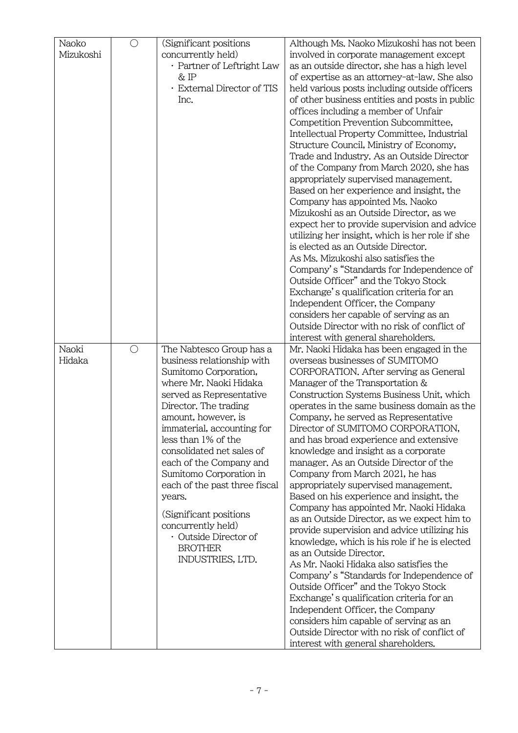| Naoko     | $\bigcirc$ | (Significant positions)                         | Although Ms. Naoko Mizukoshi has not been       |
|-----------|------------|-------------------------------------------------|-------------------------------------------------|
| Mizukoshi |            | concurrently held)                              | involved in corporate management except         |
|           |            | · Partner of Leftright Law                      | as an outside director, she has a high level    |
|           |            | & IP                                            | of expertise as an attorney-at-law. She also    |
|           |            | · External Director of TIS                      | held various posts including outside officers   |
|           |            | Inc.                                            | of other business entities and posts in public  |
|           |            |                                                 | offices including a member of Unfair            |
|           |            |                                                 | Competition Prevention Subcommittee,            |
|           |            |                                                 | Intellectual Property Committee, Industrial     |
|           |            |                                                 | Structure Council, Ministry of Economy,         |
|           |            |                                                 | Trade and Industry. As an Outside Director      |
|           |            |                                                 |                                                 |
|           |            |                                                 | of the Company from March 2020, she has         |
|           |            |                                                 | appropriately supervised management.            |
|           |            |                                                 | Based on her experience and insight, the        |
|           |            |                                                 | Company has appointed Ms. Naoko                 |
|           |            |                                                 | Mizukoshi as an Outside Director, as we         |
|           |            |                                                 | expect her to provide supervision and advice    |
|           |            |                                                 | utilizing her insight, which is her role if she |
|           |            |                                                 | is elected as an Outside Director.              |
|           |            |                                                 | As Ms. Mizukoshi also satisfies the             |
|           |            |                                                 | Company's "Standards for Independence of        |
|           |            |                                                 | Outside Officer" and the Tokyo Stock            |
|           |            |                                                 | Exchange's qualification criteria for an        |
|           |            |                                                 | Independent Officer, the Company                |
|           |            |                                                 | considers her capable of serving as an          |
|           |            |                                                 | Outside Director with no risk of conflict of    |
|           |            |                                                 | interest with general shareholders.             |
| Naoki     | $\bigcirc$ | The Nabtesco Group has a                        | Mr. Naoki Hidaka has been engaged in the        |
| Hidaka    |            | business relationship with                      | overseas businesses of SUMITOMO                 |
|           |            | Sumitomo Corporation,<br>where Mr. Naoki Hidaka | CORPORATION. After serving as General           |
|           |            |                                                 | Manager of the Transportation &                 |
|           |            | served as Representative                        | Construction Systems Business Unit, which       |
|           |            | Director. The trading                           | operates in the same business domain as the     |
|           |            | amount, however, is                             | Company, he served as Representative            |
|           |            | immaterial, accounting for                      | Director of SUMITOMO CORPORATION,               |
|           |            | less than 1% of the                             | and has broad experience and extensive          |
|           |            | consolidated net sales of                       | knowledge and insight as a corporate            |
|           |            | each of the Company and                         | manager. As an Outside Director of the          |
|           |            | Sumitomo Corporation in                         | Company from March 2021, he has                 |
|           |            | each of the past three fiscal                   | appropriately supervised management.            |
|           |            | years.                                          | Based on his experience and insight, the        |
|           |            | (Significant positions)                         | Company has appointed Mr. Naoki Hidaka          |
|           |            | concurrently held)                              | as an Outside Director, as we expect him to     |
|           |            | · Outside Director of                           | provide supervision and advice utilizing his    |
|           |            | <b>BROTHER</b>                                  | knowledge, which is his role if he is elected   |
|           |            | INDUSTRIES, LTD.                                | as an Outside Director.                         |
|           |            |                                                 | As Mr. Naoki Hidaka also satisfies the          |
|           |            |                                                 | Company's "Standards for Independence of        |
|           |            |                                                 | Outside Officer" and the Tokyo Stock            |
|           |            |                                                 | Exchange's qualification criteria for an        |
|           |            |                                                 | Independent Officer, the Company                |
|           |            |                                                 | considers him capable of serving as an          |
|           |            |                                                 | Outside Director with no risk of conflict of    |
|           |            |                                                 | interest with general shareholders.             |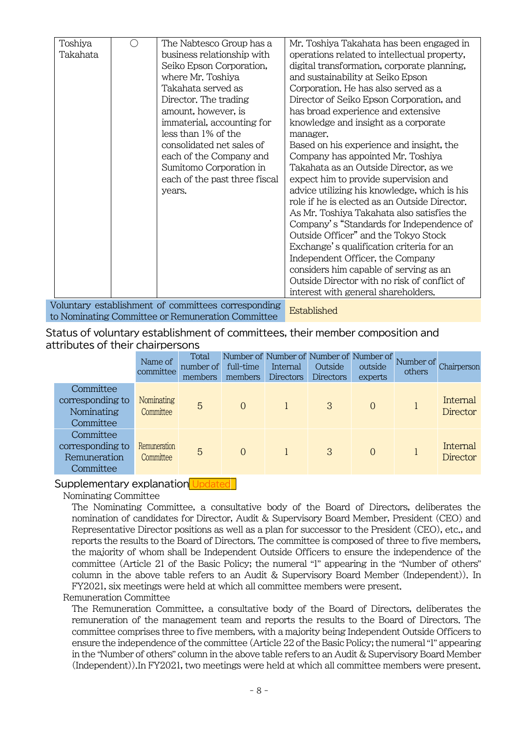| Toshiya  | The Nabtesco Group has a                            | Mr. Toshiya Takahata has been engaged in      |
|----------|-----------------------------------------------------|-----------------------------------------------|
| Takahata | business relationship with                          | operations related to intellectual property,  |
|          | Seiko Epson Corporation,                            | digital transformation, corporate planning,   |
|          | where Mr. Toshiya                                   | and sustainability at Seiko Epson             |
|          | Takahata served as                                  | Corporation. He has also served as a          |
|          | Director. The trading                               | Director of Seiko Epson Corporation, and      |
|          | amount, however, is                                 | has broad experience and extensive            |
|          | immaterial, accounting for                          | knowledge and insight as a corporate          |
|          | less than 1% of the                                 | manager.                                      |
|          | consolidated net sales of                           | Based on his experience and insight, the      |
|          | each of the Company and                             | Company has appointed Mr. Toshiya             |
|          | Sumitomo Corporation in                             | Takahata as an Outside Director, as we        |
|          | each of the past three fiscal                       | expect him to provide supervision and         |
|          | years.                                              | advice utilizing his knowledge, which is his  |
|          |                                                     | role if he is elected as an Outside Director. |
|          |                                                     | As Mr. Toshiya Takahata also satisfies the    |
|          |                                                     | Company's "Standards for Independence of      |
|          |                                                     | Outside Officer" and the Tokyo Stock          |
|          |                                                     | Exchange's qualification criteria for an      |
|          |                                                     | Independent Officer, the Company              |
|          |                                                     | considers him capable of serving as an        |
|          |                                                     | Outside Director with no risk of conflict of  |
|          |                                                     | interest with general shareholders.           |
|          | Voluntary establishment of committees corresponding |                                               |
|          | to Nominating Committee or Remuneration Committee   | Established                                   |

Status of voluntary establishment of committees, their member composition and attributes of their chairpersons

|                                                            | Name of<br>committee      | Total<br>number of<br>members | Number of Number of Number of Number of<br>full-time<br>members | Internal<br>Directors | Outside<br>Directors | outside<br>experts | Number of<br>others | Chairperson                 |
|------------------------------------------------------------|---------------------------|-------------------------------|-----------------------------------------------------------------|-----------------------|----------------------|--------------------|---------------------|-----------------------------|
| Committee<br>corresponding to<br>Nominating<br>Committee   | Nominating<br>Committee   | 5                             | $\overline{0}$                                                  |                       | 3                    | $\overline{0}$     |                     | Internal<br><b>Director</b> |
| Committee<br>corresponding to<br>Remuneration<br>Committee | Remuneration<br>Committee | 5                             | $\Omega$                                                        |                       | 3                    | $\overline{0}$     |                     | Internal<br><b>Director</b> |

#### Supplementary explanation Updated

Nominating Committee

The Nominating Committee, a consultative body of the Board of Directors, deliberates the nomination of candidates for Director, Audit & Supervisory Board Member, President (CEO) and Representative Director positions as well as a plan for successor to the President (CEO), etc., and reports the results to the Board of Directors. The committee is composed of three to five members, the majority of whom shall be Independent Outside Officers to ensure the independence of the committee (Article 21 of the Basic Policy; the numeral "1" appearing in the "Number of others" column in the above table refers to an Audit & Supervisory Board Member (Independent)). In FY2021, six meetings were held at which all committee members were present.

#### Remuneration Committee

The Remuneration Committee, a consultative body of the Board of Directors, deliberates the remuneration of the management team and reports the results to the Board of Directors. The committee comprises three to five members, with a majority being Independent Outside Officers to ensure the independence of the committee (Article 22 of the Basic Policy; the numeral "1" appearing in the "Number of others" column in the above table refers to an Audit & Supervisory Board Member (Independent)).In FY2021, two meetings were held at which all committee members were present.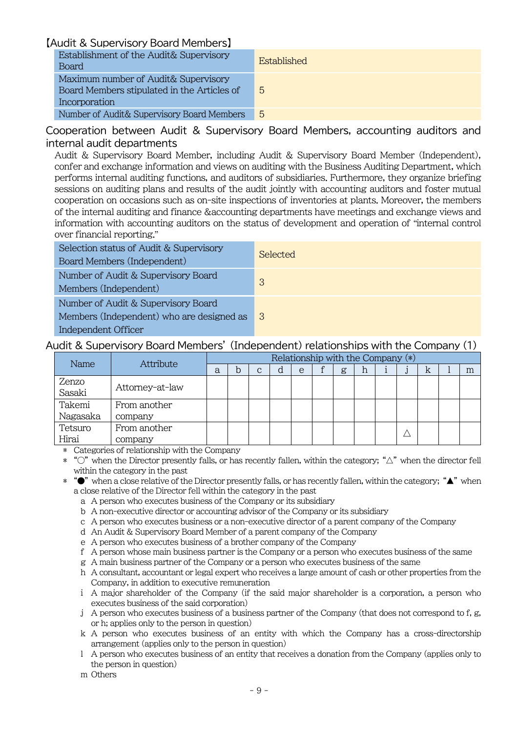#### 【Audit & Supervisory Board Members】

| Establishment of the Audit& Supervisory<br><b>Board</b>                                              | Established    |
|------------------------------------------------------------------------------------------------------|----------------|
| Maximum number of Audit& Supervisory<br>Board Members stipulated in the Articles of<br>Incorporation | 5              |
| Number of Audit& Supervisory Board Members                                                           | $\overline{5}$ |

#### Cooperation between Audit & Supervisory Board Members, accounting auditors and internal audit departments

Audit & Supervisory Board Member, including Audit & Supervisory Board Member (Independent), confer and exchange information and views on auditing with the Business Auditing Department, which performs internal auditing functions, and auditors of subsidiaries. Furthermore, they organize briefing sessions on auditing plans and results of the audit jointly with accounting auditors and foster mutual cooperation on occasions such as on-site inspections of inventories at plants. Moreover, the members of the internal auditing and finance &accounting departments have meetings and exchange views and information with accounting auditors on the status of development and operation of "internal control over financial reporting."

| Selection status of Audit & Supervisory<br>Board Members (Independent)                                  | Selected |
|---------------------------------------------------------------------------------------------------------|----------|
| Number of Audit & Supervisory Board<br>Members (Independent)                                            | 3        |
| Number of Audit & Supervisory Board<br>Members (Independent) who are designed as<br>Independent Officer | 3        |

### Audit & Supervisory Board Members' (Independent) relationships with the Company (1)

| Name     | Attribute       | Relationship with the Company (*) |   |   |  |   |  |   |   |  |  |   |  |   |
|----------|-----------------|-----------------------------------|---|---|--|---|--|---|---|--|--|---|--|---|
|          |                 | a                                 | b | С |  | e |  | g | h |  |  | k |  | m |
| Zenzo    |                 |                                   |   |   |  |   |  |   |   |  |  |   |  |   |
| Sasaki   | Attorney-at-law |                                   |   |   |  |   |  |   |   |  |  |   |  |   |
| Takemi   | From another    |                                   |   |   |  |   |  |   |   |  |  |   |  |   |
| Nagasaka | company         |                                   |   |   |  |   |  |   |   |  |  |   |  |   |
| Tetsuro  | From another    |                                   |   |   |  |   |  |   |   |  |  |   |  |   |
| Hirai    | company         |                                   |   |   |  |   |  |   |   |  |  |   |  |   |

\* Categories of relationship with the Company

- \* "○" when the Director presently falls, or has recently fallen, within the category; "△" when the director fell within the category in the past
- $*$  " $\bullet$ " when a close relative of the Director presently falls, or has recently fallen, within the category; " $\blacktriangle$ " when a close relative of the Director fell within the category in the past
	- a A person who executes business of the Company or its subsidiary
	- b A non-executive director or accounting advisor of the Company or its subsidiary
	- c A person who executes business or a non-executive director of a parent company of the Company
	- d An Audit & Supervisory Board Member of a parent company of the Company
	- e A person who executes business of a brother company of the Company
	- f A person whose main business partner is the Company or a person who executes business of the same
	- g A main business partner of the Company or a person who executes business of the same
	- h A consultant, accountant or legal expert who receives a large amount of cash or other properties from the Company, in addition to executive remuneration
	- i A major shareholder of the Company (if the said major shareholder is a corporation, a person who executes business of the said corporation)
	- j A person who executes business of a business partner of the Company (that does not correspond to f, g, or h; applies only to the person in question)
	- k A person who executes business of an entity with which the Company has a cross-directorship arrangement (applies only to the person in question)
	- l A person who executes business of an entity that receives a donation from the Company (applies only to the person in question)
	- m Others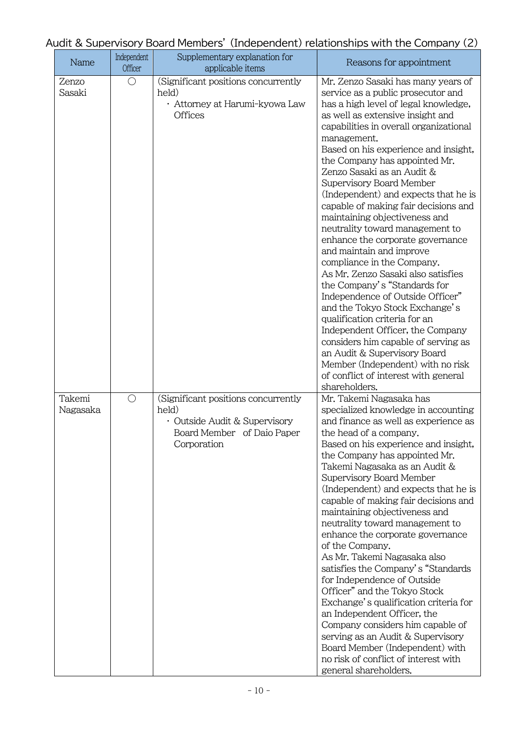| Audit & Supervisory Board Members' (Independent) relationships with the Company (2) |  |  |
|-------------------------------------------------------------------------------------|--|--|
|-------------------------------------------------------------------------------------|--|--|

| Name               | Independent<br><b>Officer</b> | Supplementary explanation for<br>applicable items                                                                          | Reasons for appointment                                                                                                                                                                                                                                                                                                                                                                                                                                                                                                                                                                                                                                                                                                                                                                                                                                                                                                                                                                  |
|--------------------|-------------------------------|----------------------------------------------------------------------------------------------------------------------------|------------------------------------------------------------------------------------------------------------------------------------------------------------------------------------------------------------------------------------------------------------------------------------------------------------------------------------------------------------------------------------------------------------------------------------------------------------------------------------------------------------------------------------------------------------------------------------------------------------------------------------------------------------------------------------------------------------------------------------------------------------------------------------------------------------------------------------------------------------------------------------------------------------------------------------------------------------------------------------------|
| Zenzo<br>Sasaki    | $\bigcirc$                    | (Significant positions concurrently<br>held)<br>· Attorney at Harumi-kyowa Law<br><b>Offices</b>                           | Mr. Zenzo Sasaki has many years of<br>service as a public prosecutor and<br>has a high level of legal knowledge,<br>as well as extensive insight and<br>capabilities in overall organizational<br>management.<br>Based on his experience and insight,<br>the Company has appointed Mr.<br>Zenzo Sasaki as an Audit &<br>Supervisory Board Member<br>(Independent) and expects that he is<br>capable of making fair decisions and<br>maintaining objectiveness and<br>neutrality toward management to<br>enhance the corporate governance<br>and maintain and improve<br>compliance in the Company.<br>As Mr. Zenzo Sasaki also satisfies<br>the Company's "Standards for<br>Independence of Outside Officer"<br>and the Tokyo Stock Exchange's<br>qualification criteria for an<br>Independent Officer, the Company<br>considers him capable of serving as<br>an Audit & Supervisory Board<br>Member (Independent) with no risk<br>of conflict of interest with general<br>shareholders. |
| Takemi<br>Nagasaka | $\bigcirc$                    | (Significant positions concurrently<br>held)<br>· Outside Audit & Supervisory<br>Board Member of Daio Paper<br>Corporation | Mr. Takemi Nagasaka has<br>specialized knowledge in accounting<br>and finance as well as experience as<br>the head of a company.<br>Based on his experience and insight,<br>the Company has appointed Mr.<br>Takemi Nagasaka as an Audit &<br>Supervisory Board Member<br>(Independent) and expects that he is<br>capable of making fair decisions and<br>maintaining objectiveness and<br>neutrality toward management to<br>enhance the corporate governance<br>of the Company.<br>As Mr. Takemi Nagasaka also<br>satisfies the Company's "Standards"<br>for Independence of Outside<br>Officer" and the Tokyo Stock<br>Exchange's qualification criteria for<br>an Independent Officer, the<br>Company considers him capable of<br>serving as an Audit & Supervisory<br>Board Member (Independent) with<br>no risk of conflict of interest with<br>general shareholders.                                                                                                              |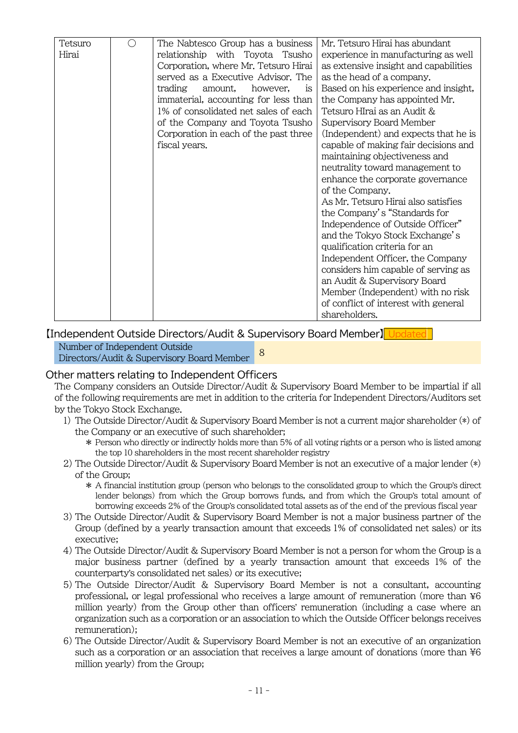| Tetsuro | The Nabtesco Group has a business     | Mr. Tetsuro Hirai has abundant        |
|---------|---------------------------------------|---------------------------------------|
| Hirai   | relationship with Toyota Tsusho       | experience in manufacturing as well   |
|         | Corporation, where Mr. Tetsuro Hirai  | as extensive insight and capabilities |
|         | served as a Executive Advisor. The    | as the head of a company.             |
|         | trading<br>however,<br>amount,<br>is  | Based on his experience and insight,  |
|         | immaterial, accounting for less than  | the Company has appointed Mr.         |
|         | 1% of consolidated net sales of each  | Tetsuro HIrai as an Audit &           |
|         | of the Company and Toyota Tsusho      | Supervisory Board Member              |
|         | Corporation in each of the past three | (Independent) and expects that he is  |
|         | fiscal years.                         | capable of making fair decisions and  |
|         |                                       | maintaining objectiveness and         |
|         |                                       | neutrality toward management to       |
|         |                                       | enhance the corporate governance      |
|         |                                       | of the Company.                       |
|         |                                       | As Mr. Tetsuro Hirai also satisfies   |
|         |                                       | the Company's "Standards for          |
|         |                                       | Independence of Outside Officer"      |
|         |                                       | and the Tokyo Stock Exchange's        |
|         |                                       | qualification criteria for an         |
|         |                                       | Independent Officer, the Company      |
|         |                                       | considers him capable of serving as   |
|         |                                       | an Audit & Supervisory Board          |
|         |                                       | Member (Independent) with no risk     |
|         |                                       | of conflict of interest with general  |
|         |                                       | shareholders.                         |

[Independent Outside Directors/Audit & Supervisory Board Member]

Number of Independent Outside Directors/Audit & Supervisory Board Member 8

#### Other matters relating to Independent Officers

The Company considers an Outside Director/Audit & Supervisory Board Member to be impartial if all of the following requirements are met in addition to the criteria for Independent Directors/Auditors set by the Tokyo Stock Exchange.

- 1) The Outside Director/Audit & Supervisory Board Member is not a current major shareholder (\*) of the Company or an executive of such shareholder;
	- \* Person who directly or indirectly holds more than 5% of all voting rights or a person who is listed among the top 10 shareholders in the most recent shareholder registry
- 2) The Outside Director/Audit & Supervisory Board Member is not an executive of a major lender (\*) of the Group;
	- \* A financial institution group (person who belongs to the consolidated group to which the Group's direct lender belongs) from which the Group borrows funds, and from which the Group's total amount of borrowing exceeds 2% of the Group's consolidated total assets as of the end of the previous fiscal year
- 3) The Outside Director/Audit & Supervisory Board Member is not a major business partner of the Group (defined by a yearly transaction amount that exceeds 1% of consolidated net sales) or its executive;
- 4) The Outside Director/Audit & Supervisory Board Member is not a person for whom the Group is a major business partner (defined by a yearly transaction amount that exceeds 1% of the counterparty's consolidated net sales) or its executive;
- 5) The Outside Director/Audit & Supervisory Board Member is not a consultant, accounting professional, or legal professional who receives a large amount of remuneration (more than ¥6 million yearly) from the Group other than officers' remuneration (including a case where an organization such as a corporation or an association to which the Outside Officer belongs receives remuneration);
- 6) The Outside Director/Audit & Supervisory Board Member is not an executive of an organization such as a corporation or an association that receives a large amount of donations (more than  $\frac{1}{6}$ 6 million yearly) from the Group;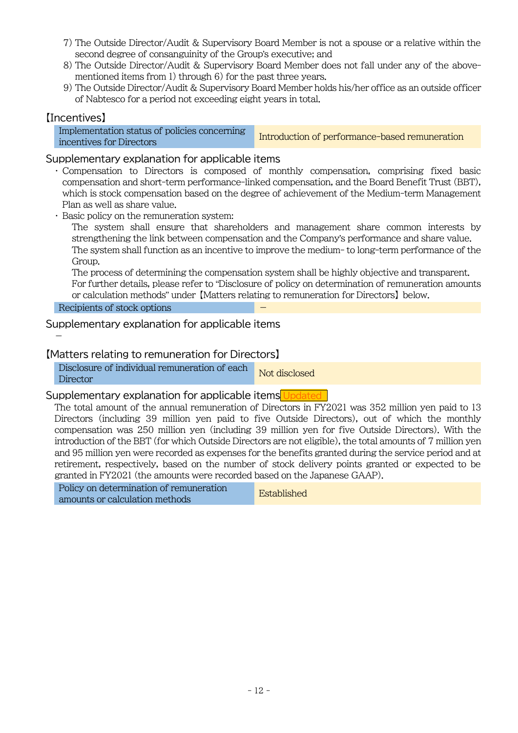- 7) The Outside Director/Audit & Supervisory Board Member is not a spouse or a relative within the second degree of consanguinity of the Group's executive; and
- 8) The Outside Director/Audit & Supervisory Board Member does not fall under any of the abovementioned items from 1) through 6) for the past three years.
- 9) The Outside Director/Audit & Supervisory Board Member holds his/her office as an outside officer of Nabtesco for a period not exceeding eight years in total.

## 【Incentives】

Implementation status of policies concerning incentives for Directors concerting Introduction of performance-based remuneration

### Supplementary explanation for applicable items

・ Compensation to Directors is composed of monthly compensation, comprising fixed basic compensation and short-term performance-linked compensation, and the Board Benefit Trust (BBT), which is stock compensation based on the degree of achievement of the Medium-term Management Plan as well as share value.

・ Basic policy on the remuneration system:

The system shall ensure that shareholders and management share common interests by strengthening the link between compensation and the Company's performance and share value. The system shall function as an incentive to improve the medium- to long-term performance of the Group.

The process of determining the compensation system shall be highly objective and transparent. For further details, please refer to "Disclosure of policy on determination of remuneration amounts or calculation methods" under 【Matters relating to remuneration for Directors】 below.

#### Recipients of stock options

-

### Supplementary explanation for applicable items

### 【Matters relating to remuneration for Directors】

Disclosure of individual remuneration of each Not disclosed

#### Supplementary explanation for applicable items Updated

The total amount of the annual remuneration of Directors in FY2021 was 352 million yen paid to 13 Directors (including 39 million yen paid to five Outside Directors), out of which the monthly compensation was 250 million yen (including 39 million yen for five Outside Directors). With the introduction of the BBT (for which Outside Directors are not eligible), the total amounts of 7 million yen and 95 million yen were recorded as expenses for the benefits granted during the service period and at retirement, respectively, based on the number of stock delivery points granted or expected to be granted in FY2021 (the amounts were recorded based on the Japanese GAAP).

Policy on determination of remuneration amounts or calculation methods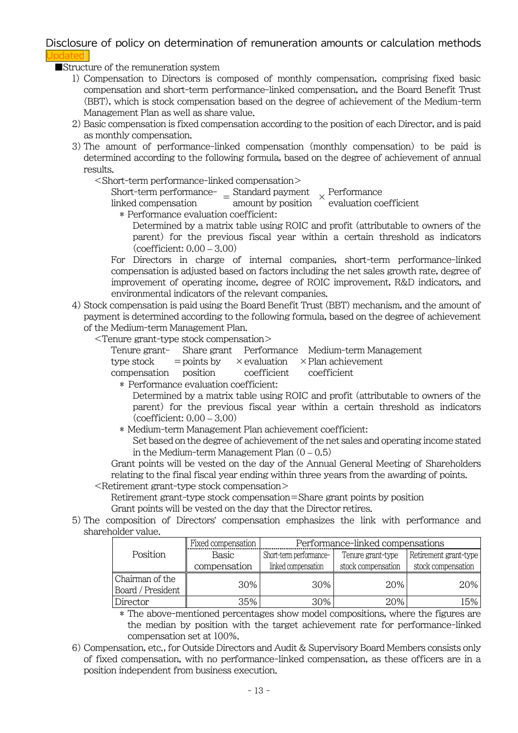Disclosure of policy on determination of remuneration amounts or calculation methods Indate

■Structure of the remuneration system

- 1) Compensation to Directors is composed of monthly compensation, comprising fixed basic compensation and short-term performance-linked compensation, and the Board Benefit Trust (BBT), which is stock compensation based on the degree of achievement of the Medium-term Management Plan as well as share value.
- 2) Basic compensation is fixed compensation according to the position of each Director, and is paid as monthly compensation.
- 3) The amount of performance-linked compensation (monthly compensation) to be paid is determined according to the following formula, based on the degree of achievement of annual results.

<Short-term performance-linked compensation>

Short-term performance-<br> $\frac{1}{2}$  = Standard payment  $\frac{1}{2}$  > Performance<br>linked compensation  $\frac{1}{2}$  = amount by position  $\frac{1}{2}$  evaluation co

evaluation coefficient

\* Performance evaluation coefficient:

Determined by a matrix table using ROIC and profit (attributable to owners of the parent) for the previous fiscal year within a certain threshold as indicators (coefficient: 0.00 – 3.00)

For Directors in charge of internal companies, short-term performance-linked compensation is adjusted based on factors including the net sales growth rate, degree of improvement of operating income, degree of ROIC improvement, R&D indicators, and environmental indicators of the relevant companies.

4) Stock compensation is paid using the Board Benefit Trust (BBT) mechanism, and the amount of payment is determined according to the following formula, based on the degree of achievement of the Medium-term Management Plan.

<Tenure grant-type stock compensation>

|  |                                               | Tenure grant- Share grant Performance Medium-term Management         |
|--|-----------------------------------------------|----------------------------------------------------------------------|
|  |                                               | type stock = points by $\times$ evaluation $\times$ Plan achievement |
|  | compensation position coefficient coefficient |                                                                      |
|  |                                               |                                                                      |

\* Performance evaluation coefficient:

- Determined by a matrix table using ROIC and profit (attributable to owners of the parent) for the previous fiscal year within a certain threshold as indicators  $(coefficient:  $0.00 - 3.00$ )$
- \* Medium-term Management Plan achievement coefficient:

Set based on the degree of achievement of the net sales and operating income stated in the Medium-term Management Plan  $(0 - 0.5)$ 

Grant points will be vested on the day of the Annual General Meeting of Shareholders relating to the final fiscal year ending within three years from the awarding of points.

<Retirement grant-type stock compensation>

Retirement grant-type stock compensation=Share grant points by position

- Grant points will be vested on the day that the Director retires.
- 5) The composition of Directors' compensation emphasizes the link with performance and shareholder value.

|                   | Performance-linked compensations<br>Fixed compensation |                         |                    |                       |  |
|-------------------|--------------------------------------------------------|-------------------------|--------------------|-----------------------|--|
| Position          | <b>Basic</b>                                           | Short-term performance- | Tenure grant-type  | Retirement grant-type |  |
|                   | compensation                                           | linked compensation     | stock compensation | stock compensation    |  |
| Chairman of the   | 30%                                                    | 30%                     | 20%                | 20%                   |  |
| Board / President |                                                        |                         |                    |                       |  |
| Director          | 35%                                                    | 30%                     | 20%                | 15%                   |  |

\* The above-mentioned percentages show model compositions, where the figures are the median by position with the target achievement rate for performance-linked compensation set at 100%.

6) Compensation, etc., for Outside Directors and Audit & Supervisory Board Members consists only of fixed compensation, with no performance-linked compensation, as these officers are in a position independent from business execution.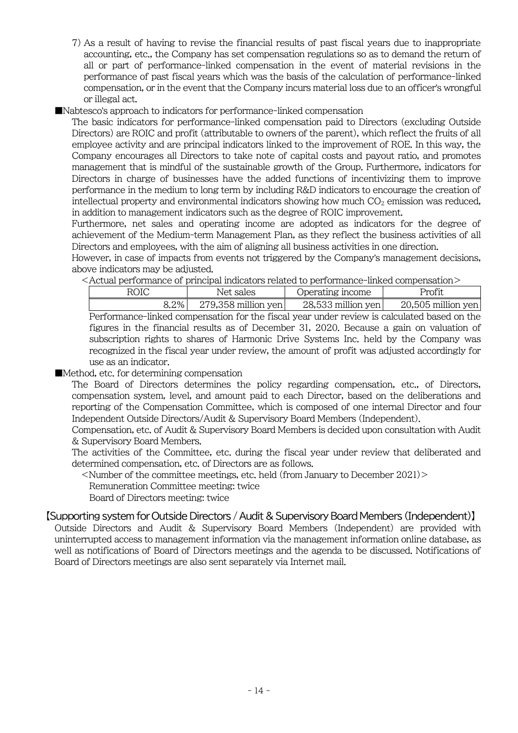- 7) As a result of having to revise the financial results of past fiscal years due to inappropriate accounting, etc., the Company has set compensation regulations so as to demand the return of all or part of performance-linked compensation in the event of material revisions in the performance of past fiscal years which was the basis of the calculation of performance-linked compensation, or in the event that the Company incurs material loss due to an officer's wrongful or illegal act.
- ■Nabtesco's approach to indicators for performance-linked compensation

The basic indicators for performance-linked compensation paid to Directors (excluding Outside Directors) are ROIC and profit (attributable to owners of the parent), which reflect the fruits of all employee activity and are principal indicators linked to the improvement of ROE. In this way, the Company encourages all Directors to take note of capital costs and payout ratio, and promotes management that is mindful of the sustainable growth of the Group. Furthermore, indicators for Directors in charge of businesses have the added functions of incentivizing them to improve performance in the medium to long term by including R&D indicators to encourage the creation of intellectual property and environmental indicators showing how much  $CO<sub>2</sub>$  emission was reduced, in addition to management indicators such as the degree of ROIC improvement.

Furthermore, net sales and operating income are adopted as indicators for the degree of achievement of the Medium-term Management Plan, as they reflect the business activities of all Directors and employees, with the aim of aligning all business activities in one direction.

However, in case of impacts from events not triggered by the Company's management decisions, above indicators may be adjusted.

<Actual performance of principal indicators related to performance-linked compensation>

| <b>ROIC</b>                                                                                   | Net sales             | Operating income     | <b>Profit</b>        |  |
|-----------------------------------------------------------------------------------------------|-----------------------|----------------------|----------------------|--|
| 8.2%                                                                                          | $279,358$ million yen | $28,533$ million yen | $20,505$ million yen |  |
| Performance-linked compensation for the fiscal year under review is calculated based on the   |                       |                      |                      |  |
| figures in the financial results as of December 31, 2020. Because a gain on valuation of      |                       |                      |                      |  |
| subscription rights to shares of Harmonic Drive Systems Inc. held by the Company was          |                       |                      |                      |  |
| recognized in the fiscal year under review, the amount of profit was adjusted accordingly for |                       |                      |                      |  |
| use as an indicator.                                                                          |                       |                      |                      |  |

#### ■Method, etc. for determining compensation

The Board of Directors determines the policy regarding compensation, etc., of Directors, compensation system, level, and amount paid to each Director, based on the deliberations and reporting of the Compensation Committee, which is composed of one internal Director and four Independent Outside Directors/Audit & Supervisory Board Members (Independent).

Compensation, etc. of Audit & Supervisory Board Members is decided upon consultation with Audit & Supervisory Board Members.

The activities of the Committee, etc. during the fiscal year under review that deliberated and determined compensation, etc. of Directors are as follows.

 $\le$ Number of the committee meetings, etc. held (from January to December 2021) $>$ Remuneration Committee meeting: twice Board of Directors meeting: twice

#### 【Supporting system for Outside Directors / Audit & Supervisory Board Members (Independent)】

Outside Directors and Audit & Supervisory Board Members (Independent) are provided with uninterrupted access to management information via the management information online database, as well as notifications of Board of Directors meetings and the agenda to be discussed. Notifications of Board of Directors meetings are also sent separately via Internet mail.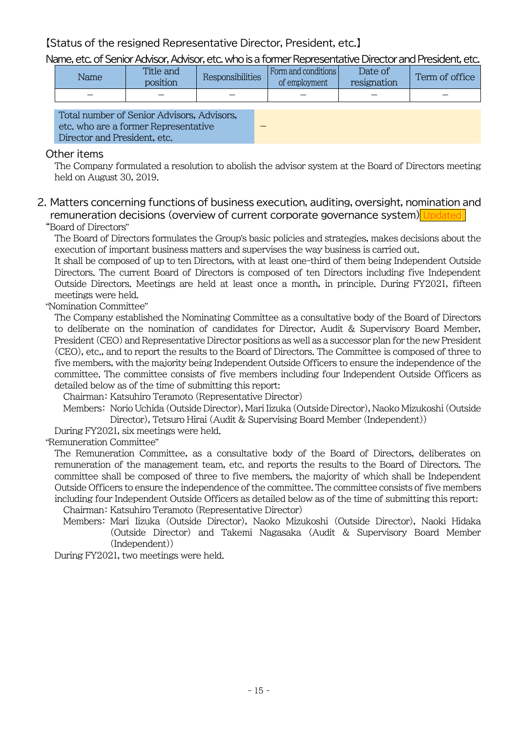【Status of the resigned Representative Director, President, etc.】

Name, etc. of Senior Advisor, Advisor, etc. who is a former Representative Director and President, etc.

| Name | Title and<br>position | <b>Responsibilities</b> | Form and conditions<br>of employment | Date of<br>resignation | Term of office |
|------|-----------------------|-------------------------|--------------------------------------|------------------------|----------------|
|      |                       |                         |                                      |                        |                |

| Total number of Senior Advisors, Advisors, |  |
|--------------------------------------------|--|
| etc. who are a former Representative       |  |
| Director and President, etc.               |  |

#### Other items

The Company formulated a resolution to abolish the advisor system at the Board of Directors meeting held on August 30, 2019.

## 2. Matters concerning functions of business execution, auditing, oversight, nomination and remuneration decisions (overview of current corporate governance system) Updated

#### "Board of Directors"

The Board of Directors formulates the Group's basic policies and strategies, makes decisions about the execution of important business matters and supervises the way business is carried out.

It shall be composed of up to ten Directors, with at least one-third of them being Independent Outside Directors. The current Board of Directors is composed of ten Directors including five Independent Outside Directors. Meetings are held at least once a month, in principle. During FY2021, fifteen meetings were held.

#### "Nomination Committee"

The Company established the Nominating Committee as a consultative body of the Board of Directors to deliberate on the nomination of candidates for Director, Audit & Supervisory Board Member, President (CEO) and Representative Director positions as well as a successor plan for the new President (CEO), etc., and to report the results to the Board of Directors. The Committee is composed of three to five members, with the majority being Independent Outside Officers to ensure the independence of the committee. The committee consists of five members including four Independent Outside Officers as detailed below as of the time of submitting this report:

Chairman: Katsuhiro Teramoto (Representative Director)

Members: Norio Uchida (Outside Director), Mari Iizuka (Outside Director), Naoko Mizukoshi (Outside Director), Tetsuro Hirai (Audit & Supervising Board Member (Independent))

During FY2021, six meetings were held.

"Remuneration Committee"

The Remuneration Committee, as a consultative body of the Board of Directors, deliberates on remuneration of the management team, etc. and reports the results to the Board of Directors. The committee shall be composed of three to five members, the majority of which shall be Independent Outside Officers to ensure the independence of the committee. The committee consists of five members including four Independent Outside Officers as detailed below as of the time of submitting this report: Chairman: Katsuhiro Teramoto (Representative Director)

Members: Mari Iizuka (Outside Director), Naoko Mizukoshi (Outside Director), Naoki Hidaka (Outside Director) and Takemi Nagasaka (Audit & Supervisory Board Member (Independent))

During FY2021, two meetings were held.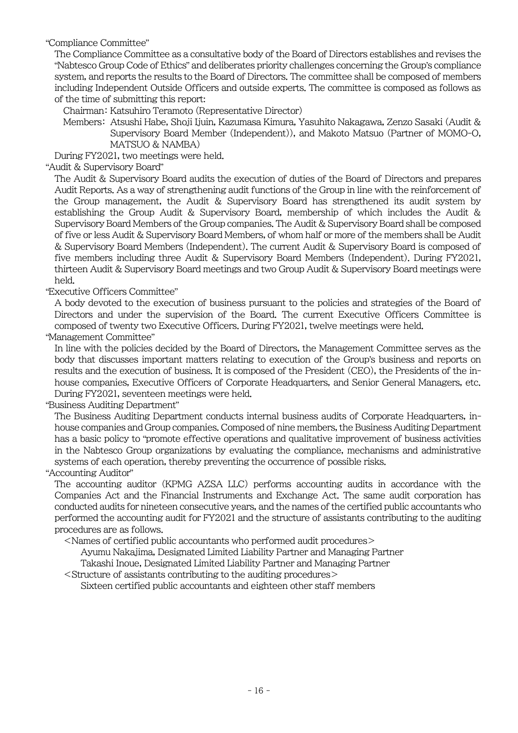"Compliance Committee"

The Compliance Committee as a consultative body of the Board of Directors establishes and revises the "Nabtesco Group Code of Ethics" and deliberates priority challenges concerning the Group's compliance system, and reports the results to the Board of Directors. The committee shall be composed of members including Independent Outside Officers and outside experts. The committee is composed as follows as of the time of submitting this report:

Chairman: Katsuhiro Teramoto (Representative Director)

Members: Atsushi Habe, Shoji Ijuin, Kazumasa Kimura, Yasuhito Nakagawa, Zenzo Sasaki (Audit & Supervisory Board Member (Independent)), and Makoto Matsuo (Partner of MOMO-O, MATSUO & NAMBA)

During FY2021, two meetings were held.

"Audit & Supervisory Board"

The Audit & Supervisory Board audits the execution of duties of the Board of Directors and prepares Audit Reports. As a way of strengthening audit functions of the Group in line with the reinforcement of the Group management, the Audit & Supervisory Board has strengthened its audit system by establishing the Group Audit & Supervisory Board, membership of which includes the Audit & Supervisory Board Members of the Group companies. The Audit & Supervisory Board shall be composed of five or less Audit & Supervisory Board Members, of whom half or more of the members shall be Audit & Supervisory Board Members (Independent). The current Audit & Supervisory Board is composed of five members including three Audit & Supervisory Board Members (Independent). During FY2021, thirteen Audit & Supervisory Board meetings and two Group Audit & Supervisory Board meetings were held.

#### "Executive Officers Committee"

A body devoted to the execution of business pursuant to the policies and strategies of the Board of Directors and under the supervision of the Board. The current Executive Officers Committee is composed of twenty two Executive Officers. During FY2021, twelve meetings were held.

#### "Management Committee"

In line with the policies decided by the Board of Directors, the Management Committee serves as the body that discusses important matters relating to execution of the Group's business and reports on results and the execution of business. It is composed of the President (CEO), the Presidents of the inhouse companies, Executive Officers of Corporate Headquarters, and Senior General Managers, etc. During FY2021, seventeen meetings were held.

#### "Business Auditing Department"

The Business Auditing Department conducts internal business audits of Corporate Headquarters, inhouse companies and Group companies. Composed of nine members, the Business Auditing Department has a basic policy to "promote effective operations and qualitative improvement of business activities in the Nabtesco Group organizations by evaluating the compliance, mechanisms and administrative systems of each operation, thereby preventing the occurrence of possible risks.

#### "Accounting Auditor"

The accounting auditor (KPMG AZSA LLC) performs accounting audits in accordance with the Companies Act and the Financial Instruments and Exchange Act. The same audit corporation has conducted audits for nineteen consecutive years, and the names of the certified public accountants who performed the accounting audit for FY2021 and the structure of assistants contributing to the auditing procedures are as follows.

<Names of certified public accountants who performed audit procedures>

Ayumu Nakajima, Designated Limited Liability Partner and Managing Partner

Takashi Inoue, Designated Limited Liability Partner and Managing Partner

<Structure of assistants contributing to the auditing procedures>

Sixteen certified public accountants and eighteen other staff members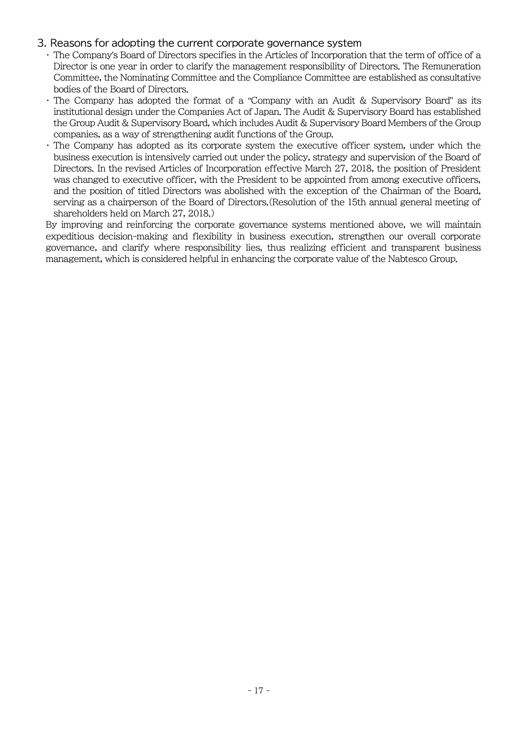#### 3. Reasons for adopting the current corporate governance system

- ・ The Company's Board of Directors specifies in the Articles of Incorporation that the term of office of a Director is one year in order to clarify the management responsibility of Directors. The Remuneration Committee, the Nominating Committee and the Compliance Committee are established as consultative bodies of the Board of Directors.
- ・ The Company has adopted the format of a "Company with an Audit & Supervisory Board" as its institutional design under the Companies Act of Japan. The Audit & Supervisory Board has established the Group Audit & Supervisory Board, which includes Audit & Supervisory Board Members of the Group companies, as a way of strengthening audit functions of the Group.
- ・ The Company has adopted as its corporate system the executive officer system, under which the business execution is intensively carried out under the policy, strategy and supervision of the Board of Directors. In the revised Articles of Incorporation effective March 27, 2018, the position of President was changed to executive officer, with the President to be appointed from among executive officers, and the position of titled Directors was abolished with the exception of the Chairman of the Board, serving as a chairperson of the Board of Directors.(Resolution of the 15th annual general meeting of shareholders held on March 27, 2018.)

By improving and reinforcing the corporate governance systems mentioned above, we will maintain expeditious decision-making and flexibility in business execution, strengthen our overall corporate governance, and clarify where responsibility lies, thus realizing efficient and transparent business management, which is considered helpful in enhancing the corporate value of the Nabtesco Group.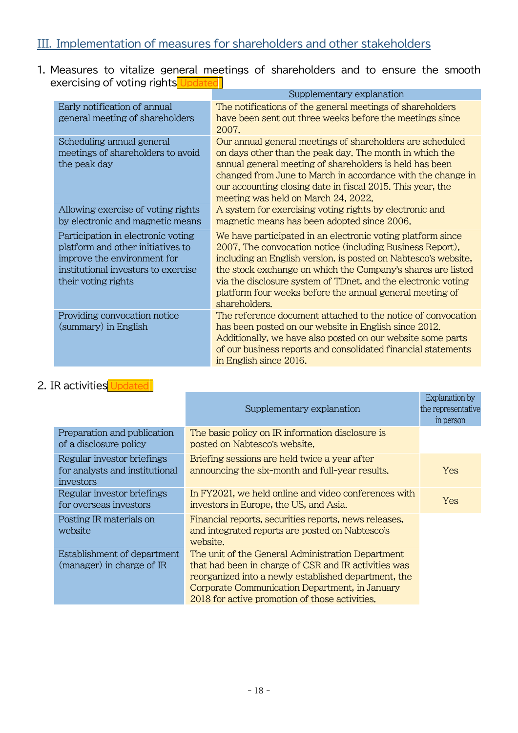## III. Implementation of measures for shareholders and other stakeholders

1. Measures to vitalize general meetings of shareholders and to ensure the smooth exercising of voting rights Updated

|                                                                                                                                                                      | Supplementary explanation                                                                                                                                                                                                                                                                                                                                                                               |
|----------------------------------------------------------------------------------------------------------------------------------------------------------------------|---------------------------------------------------------------------------------------------------------------------------------------------------------------------------------------------------------------------------------------------------------------------------------------------------------------------------------------------------------------------------------------------------------|
| Early notification of annual<br>general meeting of shareholders                                                                                                      | The notifications of the general meetings of shareholders<br>have been sent out three weeks before the meetings since<br>2007.                                                                                                                                                                                                                                                                          |
| Scheduling annual general<br>meetings of shareholders to avoid<br>the peak day                                                                                       | Our annual general meetings of shareholders are scheduled<br>on days other than the peak day. The month in which the<br>annual general meeting of shareholders is held has been<br>changed from June to March in accordance with the change in<br>our accounting closing date in fiscal 2015. This year, the<br>meeting was held on March 24, 2022.                                                     |
| Allowing exercise of voting rights<br>by electronic and magnetic means                                                                                               | A system for exercising voting rights by electronic and<br>magnetic means has been adopted since 2006.                                                                                                                                                                                                                                                                                                  |
| Participation in electronic voting<br>platform and other initiatives to<br>improve the environment for<br>institutional investors to exercise<br>their voting rights | We have participated in an electronic voting platform since<br>2007. The convocation notice (including Business Report),<br>including an English version, is posted on Nabtesco's website,<br>the stock exchange on which the Company's shares are listed<br>via the disclosure system of TDnet, and the electronic voting<br>platform four weeks before the annual general meeting of<br>shareholders. |
| Providing convocation notice<br>(summary) in English                                                                                                                 | The reference document attached to the notice of convocation<br>has been posted on our website in English since 2012.<br>Additionally, we have also posted on our website some parts<br>of our business reports and consolidated financial statements<br>in English since 2016.                                                                                                                         |

## 2. IR activities Updated

|                                                                           | Supplementary explanation                                                                                                                                                                                                                                             | Explanation by<br>the representative<br>in person |
|---------------------------------------------------------------------------|-----------------------------------------------------------------------------------------------------------------------------------------------------------------------------------------------------------------------------------------------------------------------|---------------------------------------------------|
| Preparation and publication<br>of a disclosure policy                     | The basic policy on IR information disclosure is<br>posted on Nabtesco's website.                                                                                                                                                                                     |                                                   |
| Regular investor briefings<br>for analysts and institutional<br>investors | Briefing sessions are held twice a year after<br>announcing the six-month and full-year results.                                                                                                                                                                      | Yes                                               |
| Regular investor briefings<br>for overseas investors                      | In FY2021, we held online and video conferences with<br>investors in Europe, the US, and Asia.                                                                                                                                                                        | <b>Yes</b>                                        |
| Posting IR materials on<br>website                                        | Financial reports, securities reports, news releases,<br>and integrated reports are posted on Nabtesco's<br>website.                                                                                                                                                  |                                                   |
| Establishment of department<br>(manager) in charge of IR                  | The unit of the General Administration Department<br>that had been in charge of CSR and IR activities was<br>reorganized into a newly established department, the<br>Corporate Communication Department, in January<br>2018 for active promotion of those activities. |                                                   |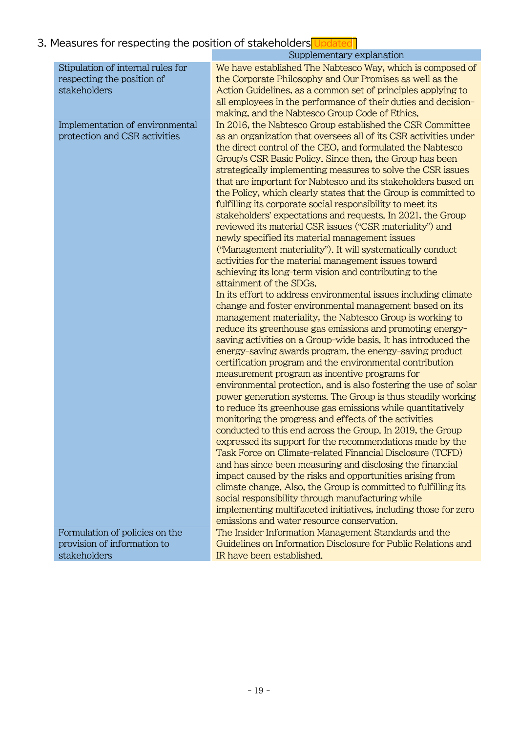# 3. Measures for respecting the position of stakeholders Updated

|                                                                                                                                                     | Supplementary explanation                                                                                                                                                                                                                                                                                                                                                                                                                                                                                                                                                                                                                                                                                                                                                                                                                                                                                                                                                                                                                                                                                                                                                                                                                                                                                                                                                                                                                                                                                                                               |
|-----------------------------------------------------------------------------------------------------------------------------------------------------|---------------------------------------------------------------------------------------------------------------------------------------------------------------------------------------------------------------------------------------------------------------------------------------------------------------------------------------------------------------------------------------------------------------------------------------------------------------------------------------------------------------------------------------------------------------------------------------------------------------------------------------------------------------------------------------------------------------------------------------------------------------------------------------------------------------------------------------------------------------------------------------------------------------------------------------------------------------------------------------------------------------------------------------------------------------------------------------------------------------------------------------------------------------------------------------------------------------------------------------------------------------------------------------------------------------------------------------------------------------------------------------------------------------------------------------------------------------------------------------------------------------------------------------------------------|
| Stipulation of internal rules for<br>respecting the position of<br>stakeholders<br>Implementation of environmental<br>protection and CSR activities | We have established The Nabtesco Way, which is composed of<br>the Corporate Philosophy and Our Promises as well as the<br>Action Guidelines, as a common set of principles applying to<br>all employees in the performance of their duties and decision-<br>making, and the Nabtesco Group Code of Ethics.<br>In 2016, the Nabtesco Group established the CSR Committee<br>as an organization that oversees all of its CSR activities under<br>the direct control of the CEO, and formulated the Nabtesco<br>Group's CSR Basic Policy. Since then, the Group has been<br>strategically implementing measures to solve the CSR issues<br>that are important for Nabtesco and its stakeholders based on<br>the Policy, which clearly states that the Group is committed to<br>fulfilling its corporate social responsibility to meet its<br>stakeholders' expectations and requests. In 2021, the Group<br>reviewed its material CSR issues ("CSR materiality") and<br>newly specified its material management issues<br>("Management materiality"). It will systematically conduct<br>activities for the material management issues toward<br>achieving its long-term vision and contributing to the<br>attainment of the SDGs.<br>In its effort to address environmental issues including climate<br>change and foster environmental management based on its<br>management materiality, the Nabtesco Group is working to<br>reduce its greenhouse gas emissions and promoting energy-<br>saving activities on a Group-wide basis. It has introduced the |
| Formulation of policies on the<br>provision of information to                                                                                       | energy-saving awards program, the energy-saving product<br>certification program and the environmental contribution<br>measurement program as incentive programs for<br>environmental protection, and is also fostering the use of solar<br>power generation systems. The Group is thus steadily working<br>to reduce its greenhouse gas emissions while quantitatively<br>monitoring the progress and effects of the activities<br>conducted to this end across the Group. In 2019, the Group<br>expressed its support for the recommendations made by the<br>Task Force on Climate-related Financial Disclosure (TCFD)<br>and has since been measuring and disclosing the financial<br>impact caused by the risks and opportunities arising from<br>climate change. Also, the Group is committed to fulfilling its<br>social responsibility through manufacturing while<br>implementing multifaceted initiatives, including those for zero<br>emissions and water resource conservation.<br>The Insider Information Management Standards and the<br>Guidelines on Information Disclosure for Public Relations and                                                                                                                                                                                                                                                                                                                                                                                                                                     |
| stakeholders                                                                                                                                        | IR have been established.                                                                                                                                                                                                                                                                                                                                                                                                                                                                                                                                                                                                                                                                                                                                                                                                                                                                                                                                                                                                                                                                                                                                                                                                                                                                                                                                                                                                                                                                                                                               |
|                                                                                                                                                     |                                                                                                                                                                                                                                                                                                                                                                                                                                                                                                                                                                                                                                                                                                                                                                                                                                                                                                                                                                                                                                                                                                                                                                                                                                                                                                                                                                                                                                                                                                                                                         |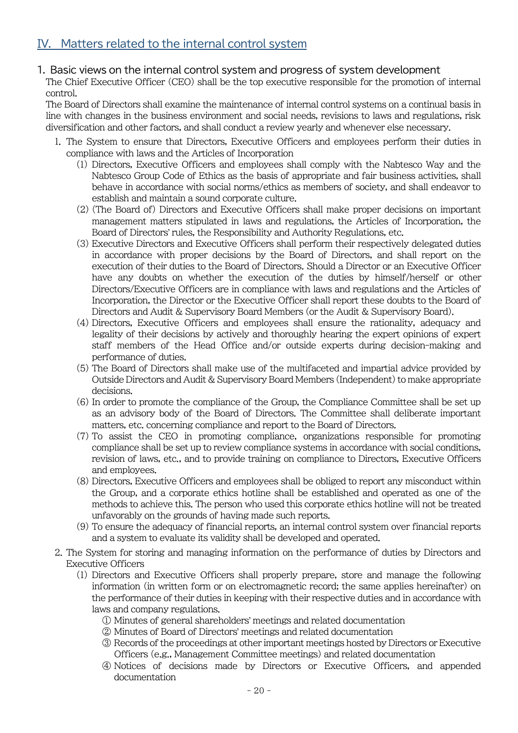### 1. Basic views on the internal control system and progress of system development

The Chief Executive Officer (CEO) shall be the top executive responsible for the promotion of internal control.

The Board of Directors shall examine the maintenance of internal control systems on a continual basis in line with changes in the business environment and social needs, revisions to laws and regulations, risk diversification and other factors, and shall conduct a review yearly and whenever else necessary.

- 1. The System to ensure that Directors, Executive Officers and employees perform their duties in compliance with laws and the Articles of Incorporation
	- (1) Directors, Executive Officers and employees shall comply with the Nabtesco Way and the Nabtesco Group Code of Ethics as the basis of appropriate and fair business activities, shall behave in accordance with social norms/ethics as members of society, and shall endeavor to establish and maintain a sound corporate culture.
	- (2) (The Board of) Directors and Executive Officers shall make proper decisions on important management matters stipulated in laws and regulations, the Articles of Incorporation, the Board of Directors' rules, the Responsibility and Authority Regulations, etc.
	- (3) Executive Directors and Executive Officers shall perform their respectively delegated duties in accordance with proper decisions by the Board of Directors, and shall report on the execution of their duties to the Board of Directors. Should a Director or an Executive Officer have any doubts on whether the execution of the duties by himself/herself or other Directors/Executive Officers are in compliance with laws and regulations and the Articles of Incorporation, the Director or the Executive Officer shall report these doubts to the Board of Directors and Audit & Supervisory Board Members (or the Audit & Supervisory Board).
	- (4) Directors, Executive Officers and employees shall ensure the rationality, adequacy and legality of their decisions by actively and thoroughly hearing the expert opinions of expert staff members of the Head Office and/or outside experts during decision-making and performance of duties.
	- (5) The Board of Directors shall make use of the multifaceted and impartial advice provided by Outside Directors and Audit & Supervisory Board Members (Independent) to make appropriate decisions.
	- (6) In order to promote the compliance of the Group, the Compliance Committee shall be set up as an advisory body of the Board of Directors. The Committee shall deliberate important matters, etc. concerning compliance and report to the Board of Directors.
	- (7) To assist the CEO in promoting compliance, organizations responsible for promoting compliance shall be set up to review compliance systems in accordance with social conditions, revision of laws, etc., and to provide training on compliance to Directors, Executive Officers and employees.
	- (8) Directors, Executive Officers and employees shall be obliged to report any misconduct within the Group, and a corporate ethics hotline shall be established and operated as one of the methods to achieve this. The person who used this corporate ethics hotline will not be treated unfavorably on the grounds of having made such reports.
	- (9) To ensure the adequacy of financial reports, an internal control system over financial reports and a system to evaluate its validity shall be developed and operated.
- 2. The System for storing and managing information on the performance of duties by Directors and Executive Officers
	- (1) Directors and Executive Officers shall properly prepare, store and manage the following information (in written form or on electromagnetic record; the same applies hereinafter) on the performance of their duties in keeping with their respective duties and in accordance with laws and company regulations.
		- ① Minutes of general shareholders' meetings and related documentation
		- ② Minutes of Board of Directors' meetings and related documentation
		- ③ Records of the proceedings at other important meetings hosted by Directors or Executive Officers (e.g., Management Committee meetings) and related documentation
		- ④ Notices of decisions made by Directors or Executive Officers, and appended documentation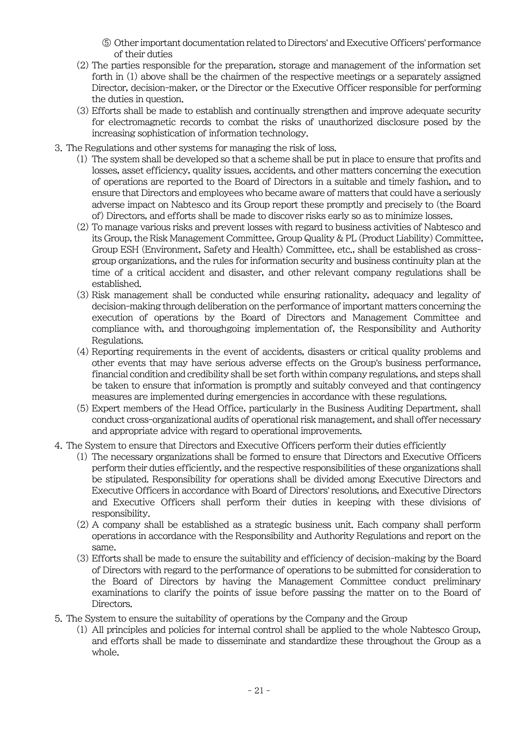- ⑤ Other important documentation related to Directors' and Executive Officers' performance of their duties
- (2) The parties responsible for the preparation, storage and management of the information set forth in (1) above shall be the chairmen of the respective meetings or a separately assigned Director, decision-maker, or the Director or the Executive Officer responsible for performing the duties in question.
- (3) Efforts shall be made to establish and continually strengthen and improve adequate security for electromagnetic records to combat the risks of unauthorized disclosure posed by the increasing sophistication of information technology.
- 3. The Regulations and other systems for managing the risk of loss.
	- (1) The system shall be developed so that a scheme shall be put in place to ensure that profits and losses, asset efficiency, quality issues, accidents, and other matters concerning the execution of operations are reported to the Board of Directors in a suitable and timely fashion, and to ensure that Directors and employees who became aware of matters that could have a seriously adverse impact on Nabtesco and its Group report these promptly and precisely to (the Board of) Directors, and efforts shall be made to discover risks early so as to minimize losses.
	- (2) To manage various risks and prevent losses with regard to business activities of Nabtesco and its Group, the Risk Management Committee, Group Quality & PL (Product Liability) Committee, Group ESH (Environment, Safety and Health) Committee, etc., shall be established as crossgroup organizations, and the rules for information security and business continuity plan at the time of a critical accident and disaster, and other relevant company regulations shall be established.
	- (3) Risk management shall be conducted while ensuring rationality, adequacy and legality of decision-making through deliberation on the performance of important matters concerning the execution of operations by the Board of Directors and Management Committee and compliance with, and thoroughgoing implementation of, the Responsibility and Authority Regulations.
	- (4) Reporting requirements in the event of accidents, disasters or critical quality problems and other events that may have serious adverse effects on the Group's business performance, financial condition and credibility shall be set forth within company regulations, and steps shall be taken to ensure that information is promptly and suitably conveyed and that contingency measures are implemented during emergencies in accordance with these regulations.
	- (5) Expert members of the Head Office, particularly in the Business Auditing Department, shall conduct cross-organizational audits of operational risk management, and shall offer necessary and appropriate advice with regard to operational improvements.
- 4. The System to ensure that Directors and Executive Officers perform their duties efficiently
	- (1) The necessary organizations shall be formed to ensure that Directors and Executive Officers perform their duties efficiently, and the respective responsibilities of these organizations shall be stipulated. Responsibility for operations shall be divided among Executive Directors and Executive Officers in accordance with Board of Directors' resolutions, and Executive Directors and Executive Officers shall perform their duties in keeping with these divisions of responsibility.
	- (2) A company shall be established as a strategic business unit. Each company shall perform operations in accordance with the Responsibility and Authority Regulations and report on the same.
	- (3) Efforts shall be made to ensure the suitability and efficiency of decision-making by the Board of Directors with regard to the performance of operations to be submitted for consideration to the Board of Directors by having the Management Committee conduct preliminary examinations to clarify the points of issue before passing the matter on to the Board of Directors.
- 5. The System to ensure the suitability of operations by the Company and the Group
	- (1) All principles and policies for internal control shall be applied to the whole Nabtesco Group, and efforts shall be made to disseminate and standardize these throughout the Group as a whole.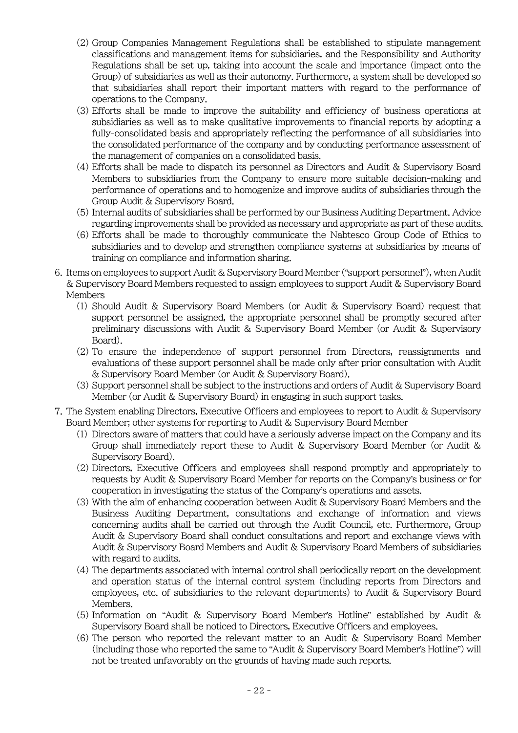- (2) Group Companies Management Regulations shall be established to stipulate management classifications and management items for subsidiaries, and the Responsibility and Authority Regulations shall be set up, taking into account the scale and importance (impact onto the Group) of subsidiaries as well as their autonomy. Furthermore, a system shall be developed so that subsidiaries shall report their important matters with regard to the performance of operations to the Company.
- (3) Efforts shall be made to improve the suitability and efficiency of business operations at subsidiaries as well as to make qualitative improvements to financial reports by adopting a fully-consolidated basis and appropriately reflecting the performance of all subsidiaries into the consolidated performance of the company and by conducting performance assessment of the management of companies on a consolidated basis.
- (4) Efforts shall be made to dispatch its personnel as Directors and Audit & Supervisory Board Members to subsidiaries from the Company to ensure more suitable decision-making and performance of operations and to homogenize and improve audits of subsidiaries through the Group Audit & Supervisory Board.
- (5) Internal audits of subsidiaries shall be performed by our Business Auditing Department. Advice regarding improvements shall be provided as necessary and appropriate as part of these audits.
- (6) Efforts shall be made to thoroughly communicate the Nabtesco Group Code of Ethics to subsidiaries and to develop and strengthen compliance systems at subsidiaries by means of training on compliance and information sharing.
- 6. Items on employees to support Audit & Supervisory Board Member ("support personnel"), when Audit & Supervisory Board Members requested to assign employees to support Audit & Supervisory Board Members
	- (1) Should Audit & Supervisory Board Members (or Audit & Supervisory Board) request that support personnel be assigned, the appropriate personnel shall be promptly secured after preliminary discussions with Audit & Supervisory Board Member (or Audit & Supervisory Board).
	- (2) To ensure the independence of support personnel from Directors, reassignments and evaluations of these support personnel shall be made only after prior consultation with Audit & Supervisory Board Member (or Audit & Supervisory Board).
	- (3) Support personnel shall be subject to the instructions and orders of Audit & Supervisory Board Member (or Audit & Supervisory Board) in engaging in such support tasks.
- 7. The System enabling Directors, Executive Officers and employees to report to Audit & Supervisory Board Member; other systems for reporting to Audit & Supervisory Board Member
	- (1) Directors aware of matters that could have a seriously adverse impact on the Company and its Group shall immediately report these to Audit & Supervisory Board Member (or Audit & Supervisory Board).
	- (2) Directors, Executive Officers and employees shall respond promptly and appropriately to requests by Audit & Supervisory Board Member for reports on the Company's business or for cooperation in investigating the status of the Company's operations and assets.
	- (3) With the aim of enhancing cooperation between Audit & Supervisory Board Members and the Business Auditing Department, consultations and exchange of information and views concerning audits shall be carried out through the Audit Council, etc. Furthermore, Group Audit & Supervisory Board shall conduct consultations and report and exchange views with Audit & Supervisory Board Members and Audit & Supervisory Board Members of subsidiaries with regard to audits.
	- (4) The departments associated with internal control shall periodically report on the development and operation status of the internal control system (including reports from Directors and employees, etc. of subsidiaries to the relevant departments) to Audit & Supervisory Board Members.
	- (5) Information on "Audit & Supervisory Board Member's Hotline" established by Audit & Supervisory Board shall be noticed to Directors, Executive Officers and employees.
	- (6) The person who reported the relevant matter to an Audit & Supervisory Board Member (including those who reported the same to "Audit & Supervisory Board Member's Hotline") will not be treated unfavorably on the grounds of having made such reports.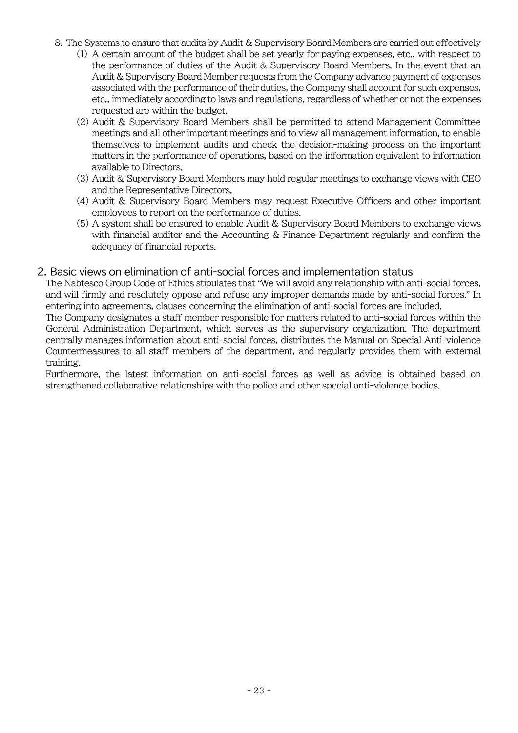- 8. The Systems to ensure that audits by Audit & Supervisory Board Members are carried out effectively
	- (1) A certain amount of the budget shall be set yearly for paying expenses, etc., with respect to the performance of duties of the Audit & Supervisory Board Members. In the event that an Audit & Supervisory Board Member requests from the Company advance payment of expenses associated with the performance of their duties, the Company shall account for such expenses, etc., immediately according to laws and regulations, regardless of whether or not the expenses requested are within the budget.
	- (2) Audit & Supervisory Board Members shall be permitted to attend Management Committee meetings and all other important meetings and to view all management information, to enable themselves to implement audits and check the decision-making process on the important matters in the performance of operations, based on the information equivalent to information available to Directors.
	- (3) Audit & Supervisory Board Members may hold regular meetings to exchange views with CEO and the Representative Directors.
	- (4) Audit & Supervisory Board Members may request Executive Officers and other important employees to report on the performance of duties.
	- (5) A system shall be ensured to enable Audit & Supervisory Board Members to exchange views with financial auditor and the Accounting & Finance Department regularly and confirm the adequacy of financial reports.

#### 2. Basic views on elimination of anti-social forces and implementation status

The Nabtesco Group Code of Ethics stipulates that "We will avoid any relationship with anti-social forces, and will firmly and resolutely oppose and refuse any improper demands made by anti-social forces." In entering into agreements, clauses concerning the elimination of anti-social forces are included.

The Company designates a staff member responsible for matters related to anti-social forces within the General Administration Department, which serves as the supervisory organization. The department centrally manages information about anti-social forces, distributes the Manual on Special Anti-violence Countermeasures to all staff members of the department, and regularly provides them with external training.

Furthermore, the latest information on anti-social forces as well as advice is obtained based on strengthened collaborative relationships with the police and other special anti-violence bodies.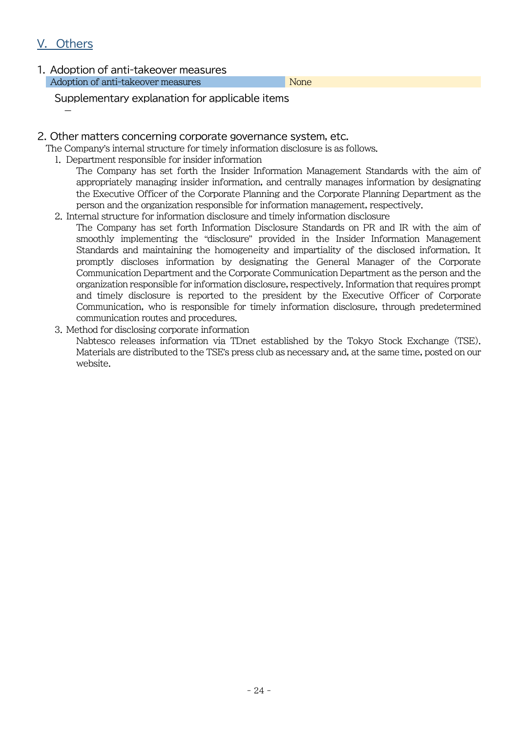## V. Others

-

1. Adoption of anti-takeover measures Adoption of anti-takeover measures None

Supplementary explanation for applicable items

#### 2. Other matters concerning corporate governance system, etc.

The Company's internal structure for timely information disclosure is as follows.

- 1. Department responsible for insider information
	- The Company has set forth the Insider Information Management Standards with the aim of appropriately managing insider information, and centrally manages information by designating the Executive Officer of the Corporate Planning and the Corporate Planning Department as the person and the organization responsible for information management, respectively.
- 2. Internal structure for information disclosure and timely information disclosure
	- The Company has set forth Information Disclosure Standards on PR and IR with the aim of smoothly implementing the "disclosure" provided in the Insider Information Management Standards and maintaining the homogeneity and impartiality of the disclosed information. It promptly discloses information by designating the General Manager of the Corporate Communication Department and the Corporate Communication Department as the person and the organization responsible for information disclosure, respectively. Information that requires prompt and timely disclosure is reported to the president by the Executive Officer of Corporate Communication, who is responsible for timely information disclosure, through predetermined communication routes and procedures.
- 3. Method for disclosing corporate information

Nabtesco releases information via TDnet established by the Tokyo Stock Exchange (TSE). Materials are distributed to the TSE's press club as necessary and, at the same time, posted on our website.